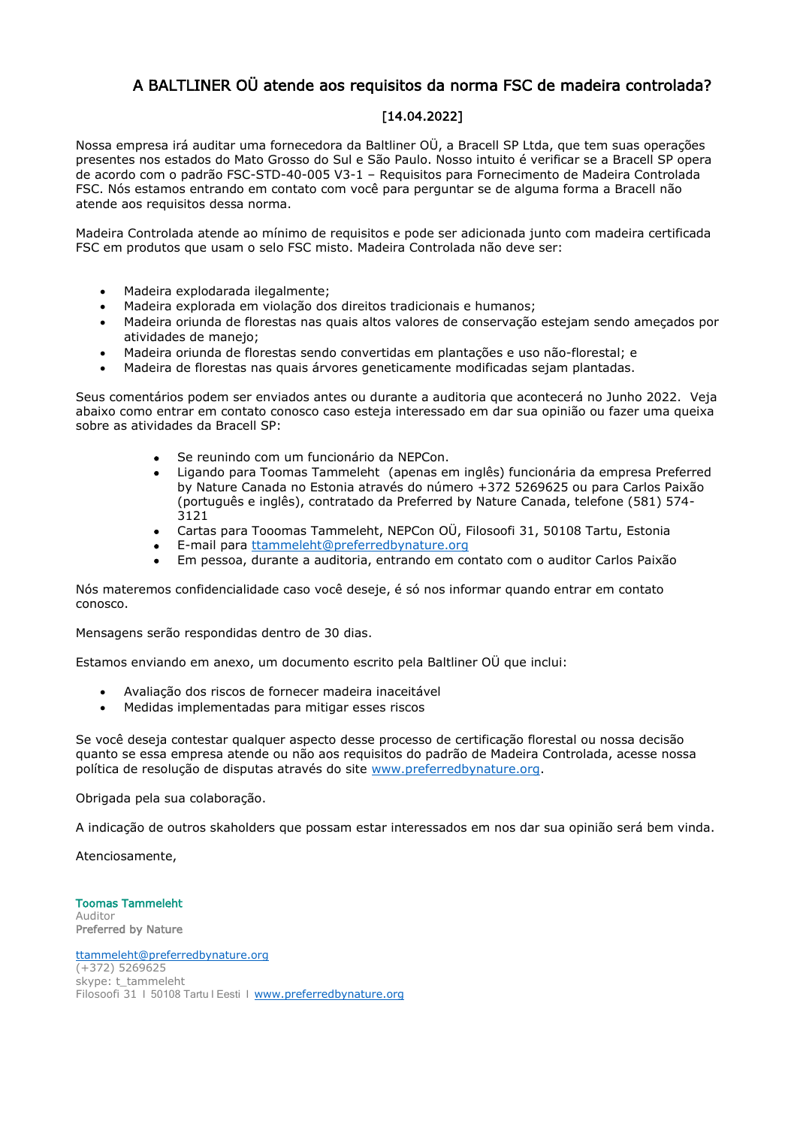# A BALTLINER OÜ atende aos requisitos da norma FSC de madeira controlada?

#### [14.04.2022]

Nossa empresa irá auditar uma fornecedora da Baltliner OÜ, a Bracell SP Ltda, que tem suas operações presentes nos estados do Mato Grosso do Sul e São Paulo. Nosso intuito é verificar se a Bracell SP opera de acordo com o padrão FSC-STD-40-005 V3-1 – Requisitos para Fornecimento de Madeira Controlada FSC. Nós estamos entrando em contato com você para perguntar se de alguma forma a Bracell não atende aos requisitos dessa norma.

Madeira Controlada atende ao mínimo de requisitos e pode ser adicionada junto com madeira certificada FSC em produtos que usam o selo FSC misto. Madeira Controlada não deve ser:

- Madeira explodarada ilegalmente;
- Madeira explorada em violação dos direitos tradicionais e humanos;
- Madeira oriunda de florestas nas quais altos valores de conservação estejam sendo ameçados por atividades de manejo;
- Madeira oriunda de florestas sendo convertidas em plantações e uso não-florestal; e
- Madeira de florestas nas quais árvores geneticamente modificadas sejam plantadas.

Seus comentários podem ser enviados antes ou durante a auditoria que acontecerá no Junho 2022. Veja abaixo como entrar em contato conosco caso esteja interessado em dar sua opinião ou fazer uma queixa sobre as atividades da Bracell SP:

- Se reunindo com um funcionário da NEPCon.
- Ligando para Toomas Tammeleht (apenas em inglês) funcionária da empresa Preferred by Nature Canada no Estonia através do número +372 5269625 ou para Carlos Paixão (português e inglês), contratado da Preferred by Nature Canada, telefone (581) 574- 3121
- Cartas para Tooomas Tammeleht, NEPCon OÜ, Filosoofi 31, 50108 Tartu, Estonia
- E-mail para [ttammeleht@preferredbynature.org](mailto:tammeleht@preferredbynature.org)
- Em pessoa, durante a auditoria, entrando em contato com o auditor Carlos Paixão

Nós materemos confidencialidade caso você deseje, é só nos informar quando entrar em contato conosco.

Mensagens serão respondidas dentro de 30 dias.

Estamos enviando em anexo, um documento escrito pela Baltliner OÜ que inclui:

- Avaliação dos riscos de fornecer madeira inaceitável
- Medidas implementadas para mitigar esses riscos

Se você deseja contestar qualquer aspecto desse processo de certificação florestal ou nossa decisão quanto se essa empresa atende ou não aos requisitos do padrão de Madeira Controlada, acesse nossa política de resolução de disputas através do site [www.preferredbynature.org.](http://www.nepcon.org/)

Obrigada pela sua colaboração.

A indicação de outros skaholders que possam estar interessados em nos dar sua opinião será bem vinda.

Atenciosamente,

Toomas Tammeleht Auditor Preferred by Nature

[ttammeleht@preferredbynature.org](mailto:ttammeleht@preferredbynature.org) (+372) 5269625 skype: t\_tammeleht Filosoofi 31 | 50108 Tartu | Eesti | [www.preferredbynature.org](http://www.preferredbynature.org/)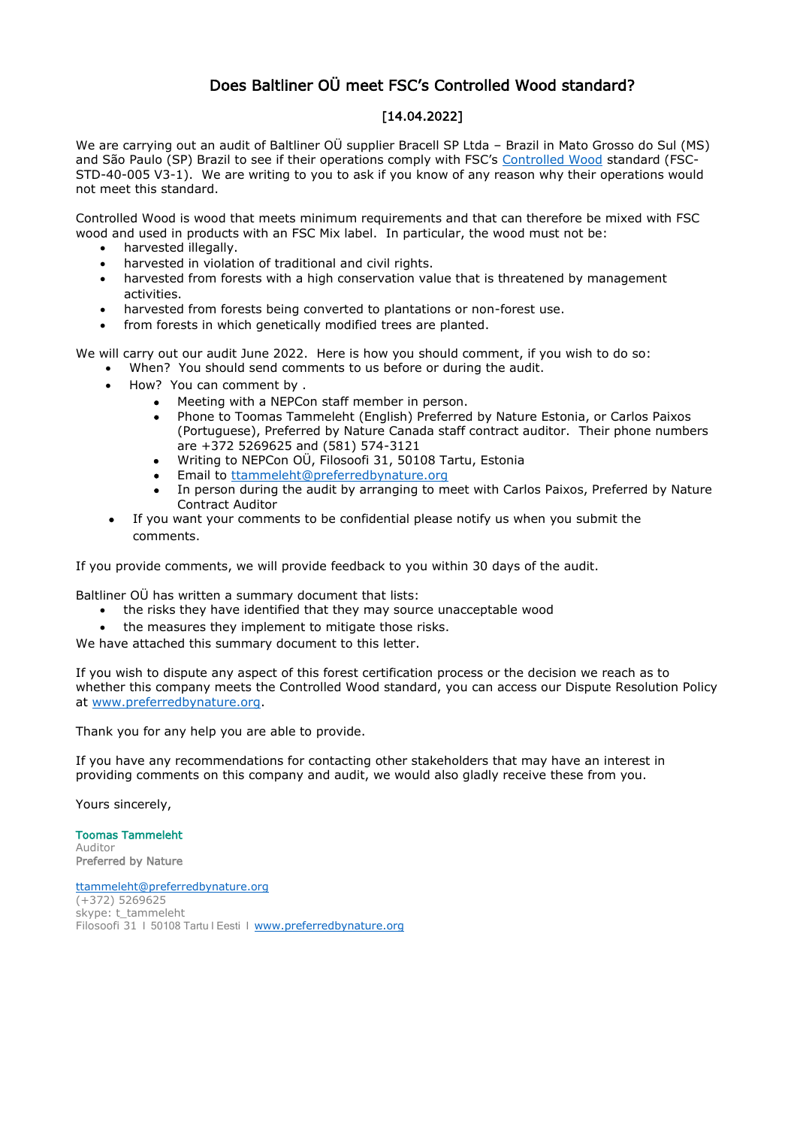# Does Baltliner OÜ meet FSC's Controlled Wood standard?

# [14.04.2022]

We are carrying out an audit of Baltliner OÜ supplier Bracell SP Ltda - Brazil in Mato Grosso do Sul (MS) and São Paulo (SP) Brazil to see if their operations comply with FSC's [Controlled Wood](https://ic.fsc.org/en/what-is-fsc-certification/controlled-wood) standard (FSC-STD-40-005 V3-1). We are writing to you to ask if you know of any reason why their operations would not meet this standard.

Controlled Wood is wood that meets minimum requirements and that can therefore be mixed with FSC wood and used in products with an FSC Mix label. In particular, the wood must not be:

- harvested illegally.
- harvested in violation of traditional and civil rights.
- harvested from forests with a high conservation value that is threatened by management activities.
- harvested from forests being converted to plantations or non-forest use.
- from forests in which genetically modified trees are planted.

We will carry out our audit June 2022. Here is how you should comment, if you wish to do so:

- When? You should send comments to us before or during the audit.
- How? You can comment by .
	- Meeting with a NEPCon staff member in person.
	- Phone to Toomas Tammeleht (English) Preferred by Nature Estonia, or Carlos Paixos (Portuguese), Preferred by Nature Canada staff contract auditor. Their phone numbers are +372 5269625 and (581) 574-3121
	- Writing to NEPCon OÜ, Filosoofi 31, 50108 Tartu, Estonia
	- Email to thammeleht@preferredbynature.org
	- In person during the audit by arranging to meet with Carlos Paixos, Preferred by Nature Contract Auditor
- If you want your comments to be confidential please notify us when you submit the comments.

If you provide comments, we will provide feedback to you within 30 days of the audit.

Baltliner OÜ has written a summary document that lists:

- the risks they have identified that they may source unacceptable wood
- the measures they implement to mitigate those risks.

We have attached this summary document to this letter.

If you wish to dispute any aspect of this forest certification process or the decision we reach as to whether this company meets the Controlled Wood standard, you can access our Dispute Resolution Policy at [www.preferredbynature.org.](http://www.preferredbynature.org/)

Thank you for any help you are able to provide.

If you have any recommendations for contacting other stakeholders that may have an interest in providing comments on this company and audit, we would also gladly receive these from you.

Yours sincerely,

Toomas Tammeleht Auditor Preferred by Nature

[ttammeleht@preferredbynature.org](mailto:ttammeleht@preferredbynature.org) (+372) 5269625 skype: t\_tammeleht Filosoofi 31 | 50108 Tartu | Eesti | [www.preferredbynature.org](http://www.preferredbynature.org/)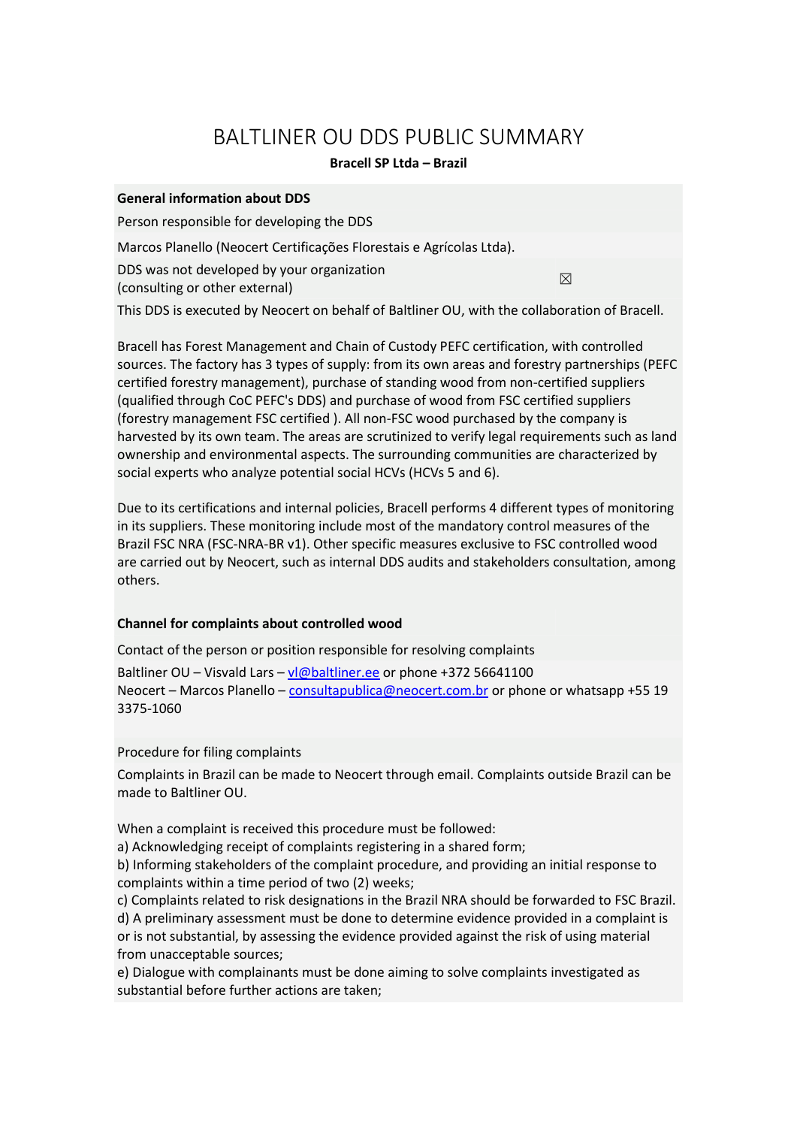# BALTLINER OU DDS PUBLIC SUMMARY

# **Bracell SP Ltda – Brazil**

### **General information about DDS**

Person responsible for developing the DDS

Marcos Planello (Neocert Certificações Florestais e Agrícolas Ltda).

DDS was not developed by your organization

 $\Box$  (consulting or other external)  $\boxtimes$ 

This DDS is executed by Neocert on behalf of Baltliner OU, with the collaboration of Bracell.

Bracell has Forest Management and Chain of Custody PEFC certification, with controlled sources. The factory has 3 types of supply: from its own areas and forestry partnerships (PEFC certified forestry management), purchase of standing wood from non-certified suppliers (qualified through CoC PEFC's DDS) and purchase of wood from FSC certified suppliers (forestry management FSC certified ). All non-FSC wood purchased by the company is harvested by its own team. The areas are scrutinized to verify legal requirements such as land ownership and environmental aspects. The surrounding communities are characterized by social experts who analyze potential social HCVs (HCVs 5 and 6).

Due to its certifications and internal policies, Bracell performs 4 different types of monitoring in its suppliers. These monitoring include most of the mandatory control measures of the Brazil FSC NRA (FSC-NRA-BR v1). Other specific measures exclusive to FSC controlled wood are carried out by Neocert, such as internal DDS audits and stakeholders consultation, among others.

# **Channel for complaints about controlled wood**

Contact of the person or position responsible for resolving complaints

Baltliner OU – Visvald Lars – [vl@baltliner.ee](mailto:vl@baltliner.ee) or phone +372 56641100 Neocert – Marcos Planello – [consultapublica@neocert.com.br](mailto:consultapublica@neocert.com.br) or phone or whatsapp +55 19 3375-1060

Procedure for filing complaints

Complaints in Brazil can be made to Neocert through email. Complaints outside Brazil can be made to Baltliner OU.

When a complaint is received this procedure must be followed:

a) Acknowledging receipt of complaints registering in a shared form;

b) Informing stakeholders of the complaint procedure, and providing an initial response to complaints within a time period of two (2) weeks;

c) Complaints related to risk designations in the Brazil NRA should be forwarded to FSC Brazil. d) A preliminary assessment must be done to determine evidence provided in a complaint is or is not substantial, by assessing the evidence provided against the risk of using material from unacceptable sources;

e) Dialogue with complainants must be done aiming to solve complaints investigated as substantial before further actions are taken;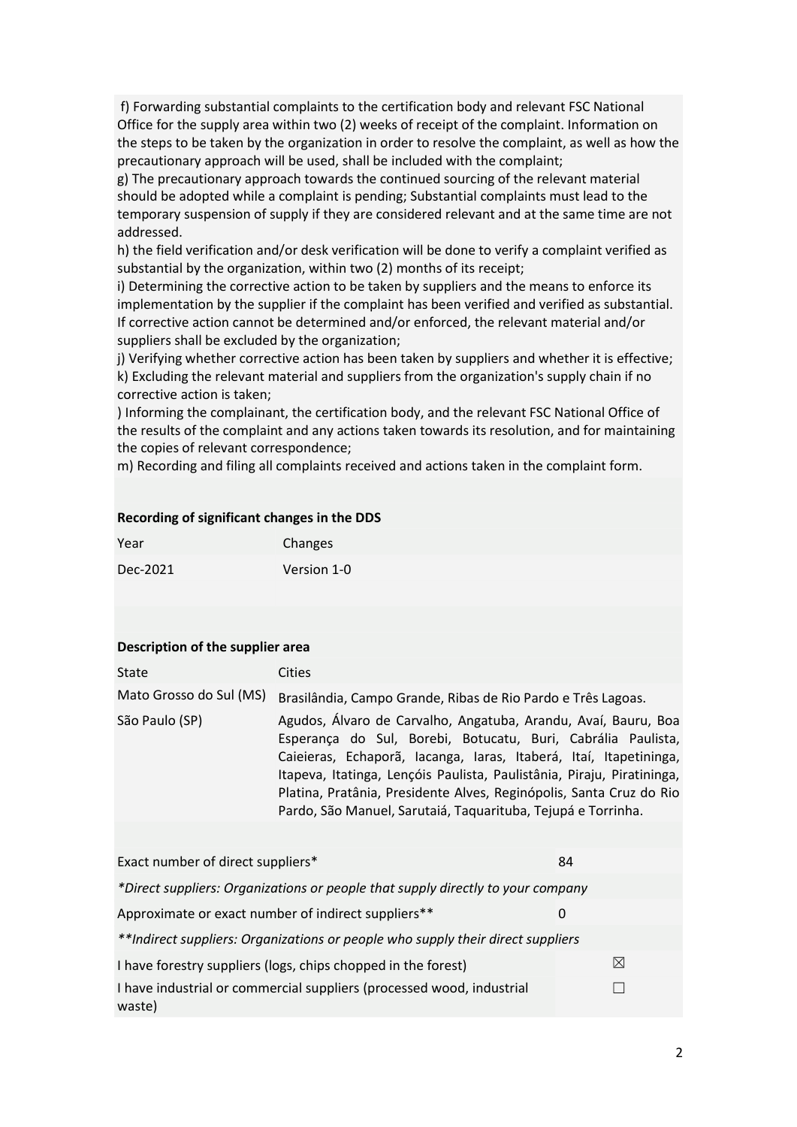f) Forwarding substantial complaints to the certification body and relevant FSC National Office for the supply area within two (2) weeks of receipt of the complaint. Information on the steps to be taken by the organization in order to resolve the complaint, as well as how the precautionary approach will be used, shall be included with the complaint;

g) The precautionary approach towards the continued sourcing of the relevant material should be adopted while a complaint is pending; Substantial complaints must lead to the temporary suspension of supply if they are considered relevant and at the same time are not addressed.

h) the field verification and/or desk verification will be done to verify a complaint verified as substantial by the organization, within two (2) months of its receipt;

i) Determining the corrective action to be taken by suppliers and the means to enforce its implementation by the supplier if the complaint has been verified and verified as substantial. If corrective action cannot be determined and/or enforced, the relevant material and/or suppliers shall be excluded by the organization;

j) Verifying whether corrective action has been taken by suppliers and whether it is effective; k) Excluding the relevant material and suppliers from the organization's supply chain if no corrective action is taken;

) Informing the complainant, the certification body, and the relevant FSC National Office of the results of the complaint and any actions taken towards its resolution, and for maintaining the copies of relevant correspondence;

m) Recording and filing all complaints received and actions taken in the complaint form.

#### **Recording of significant changes in the DDS**

| Year     | Changes     |  |
|----------|-------------|--|
| Dec-2021 | Version 1-0 |  |

#### **Description of the supplier area**

| State                   | Cities                                                                                                                                                                                                                                                                                                                                                                                                               |  |  |
|-------------------------|----------------------------------------------------------------------------------------------------------------------------------------------------------------------------------------------------------------------------------------------------------------------------------------------------------------------------------------------------------------------------------------------------------------------|--|--|
| Mato Grosso do Sul (MS) | Brasilândia, Campo Grande, Ribas de Rio Pardo e Três Lagoas.                                                                                                                                                                                                                                                                                                                                                         |  |  |
| São Paulo (SP)          | Agudos, Álvaro de Carvalho, Angatuba, Arandu, Avaí, Bauru, Boa<br>Esperança do Sul, Borebi, Botucatu, Buri, Cabrália Paulista,<br>Caieieras, Echaporã, Iacanga, Iaras, Itaberá, Itaí, Itapetininga,<br>Itapeva, Itatinga, Lençóis Paulista, Paulistânia, Piraju, Piratininga,<br>Platina, Pratânia, Presidente Alves, Reginópolis, Santa Cruz do Rio<br>Pardo, São Manuel, Sarutaiá, Taquarituba, Tejupá e Torrinha. |  |  |

| Exact number of direct suppliers*                                               | 84 |  |  |
|---------------------------------------------------------------------------------|----|--|--|
| *Direct suppliers: Organizations or people that supply directly to your company |    |  |  |
| Approximate or exact number of indirect suppliers**                             | 0  |  |  |
| **Indirect suppliers: Organizations or people who supply their direct suppliers |    |  |  |
| I have forestry suppliers (logs, chips chopped in the forest)                   | ⊠  |  |  |
| I have industrial or commercial suppliers (processed wood, industrial<br>waste) |    |  |  |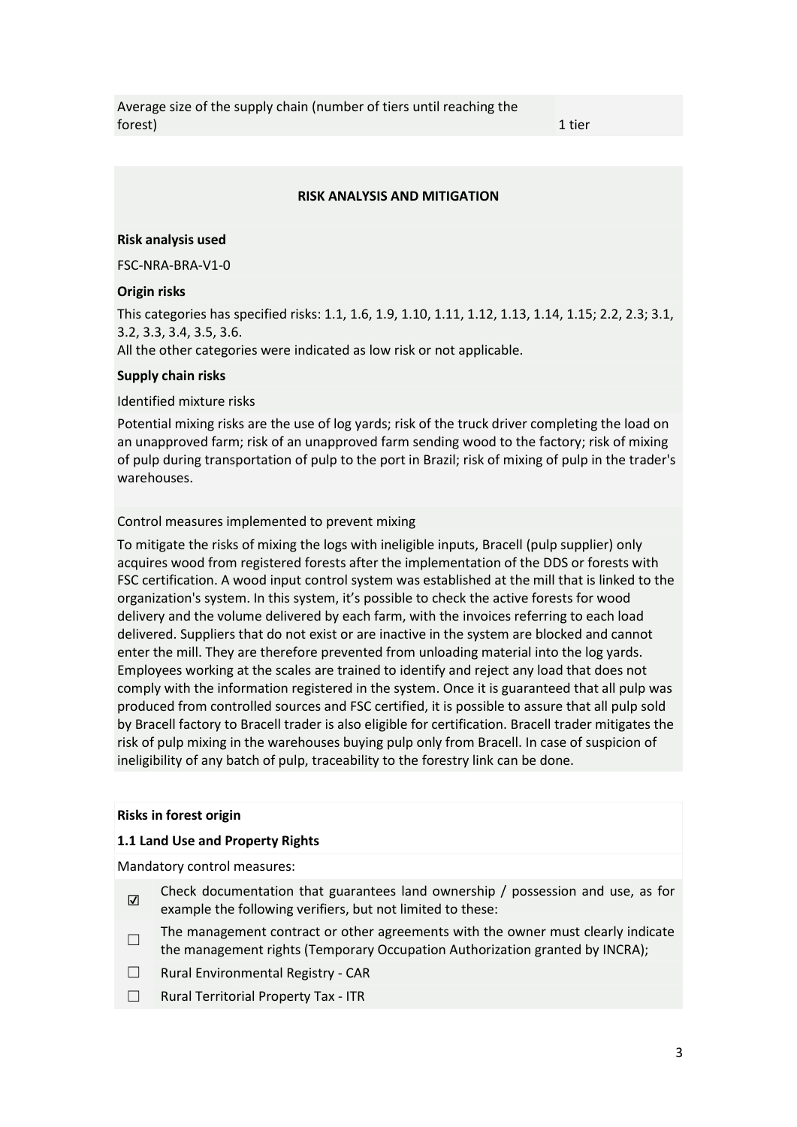Average size of the supply chain (number of tiers until reaching the  $\blacksquare$  forest) and the contract of the contract of the contract of the contract of the contract of the contract of the contract of the contract of the contract of the contract of the contract of the contract of the contra

#### **RISK ANALYSIS AND MITIGATION**

#### **Risk analysis used**

FSC-NRA-BRA-V1-0

#### **Origin risks**

This categories has specified risks: 1.1, 1.6, 1.9, 1.10, 1.11, 1.12, 1.13, 1.14, 1.15; 2.2, 2.3; 3.1, 3.2, 3.3, 3.4, 3.5, 3.6. All the other categories were indicated as low risk or not applicable.

#### **Supply chain risks**

#### Identified mixture risks

Potential mixing risks are the use of log yards; risk of the truck driver completing the load on an unapproved farm; risk of an unapproved farm sending wood to the factory; risk of mixing of pulp during transportation of pulp to the port in Brazil; risk of mixing of pulp in the trader's warehouses.

#### Control measures implemented to prevent mixing

To mitigate the risks of mixing the logs with ineligible inputs, Bracell (pulp supplier) only acquires wood from registered forests after the implementation of the DDS or forests with FSC certification. A wood input control system was established at the mill that is linked to the organization's system. In this system, it's possible to check the active forests for wood delivery and the volume delivered by each farm, with the invoices referring to each load delivered. Suppliers that do not exist or are inactive in the system are blocked and cannot enter the mill. They are therefore prevented from unloading material into the log yards. Employees working at the scales are trained to identify and reject any load that does not comply with the information registered in the system. Once it is guaranteed that all pulp was produced from controlled sources and FSC certified, it is possible to assure that all pulp sold by Bracell factory to Bracell trader is also eligible for certification. Bracell trader mitigates the risk of pulp mixing in the warehouses buying pulp only from Bracell. In case of suspicion of ineligibility of any batch of pulp, traceability to the forestry link can be done.

#### **Risks in forest origin**

#### **1.1 Land Use and Property Rights**

Mandatory control measures:

- ☑ Check documentation that guarantees land ownership / possession and use, as for example the following verifiers, but not limited to these:
- $\Box$ The management contract or other agreements with the owner must clearly indicate the management rights (Temporary Occupation Authorization granted by INCRA);
- ☐ Rural Environmental Registry CAR
- ☐ Rural Territorial Property Tax ITR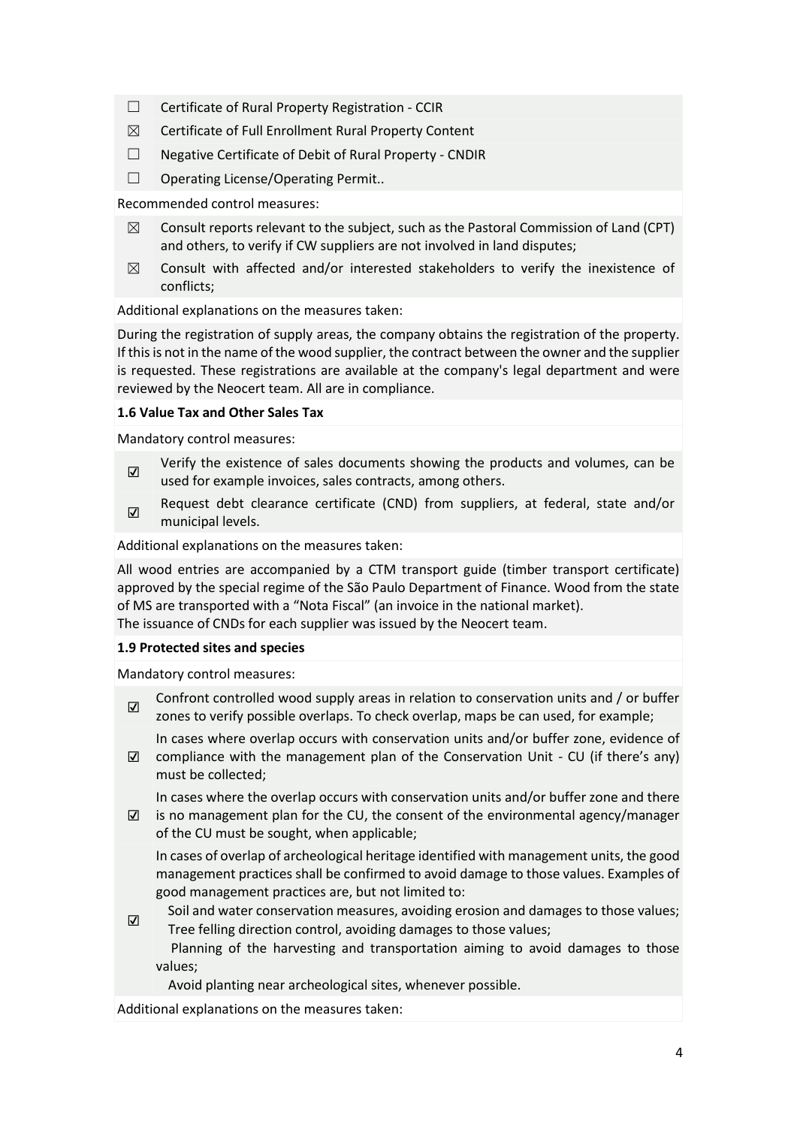- ☐ Certificate of Rural Property Registration CCIR
- $\boxtimes$  Certificate of Full Enrollment Rural Property Content
- ☐ Negative Certificate of Debit of Rural Property CNDIR
- ☐ Operating License/Operating Permit..

Recommended control measures:

- $\boxtimes$  Consult reports relevant to the subject, such as the Pastoral Commission of Land (CPT) and others, to verify if CW suppliers are not involved in land disputes;
- $\boxtimes$  Consult with affected and/or interested stakeholders to verify the inexistence of conflicts;

Additional explanations on the measures taken:

During the registration of supply areas, the company obtains the registration of the property. If this is not in the name of the wood supplier, the contract between the owner and the supplier is requested. These registrations are available at the company's legal department and were reviewed by the Neocert team. All are in compliance.

# **1.6 Value Tax and Other Sales Tax**

Mandatory control measures:

- ☑ Verify the existence of sales documents showing the products and volumes, can be used for example invoices, sales contracts, among others.
- $\overline{v}$ Request debt clearance certificate (CND) from suppliers, at federal, state and/or municipal levels.

Additional explanations on the measures taken:

All wood entries are accompanied by a CTM transport guide (timber transport certificate) approved by the special regime of the São Paulo Department of Finance. Wood from the state of MS are transported with a "Nota Fiscal" (an invoice in the national market). The issuance of CNDs for each supplier was issued by the Neocert team.

### **1.9 Protected sites and species**

Mandatory control measures:

☑

☑ Confront controlled wood supply areas in relation to conservation units and / or buffer zones to verify possible overlaps. To check overlap, maps be can used, for example;

In cases where overlap occurs with conservation units and/or buffer zone, evidence of

☑ compliance with the management plan of the Conservation Unit - CU (if there's any) must be collected;

In cases where the overlap occurs with conservation units and/or buffer zone and there

☑ is no management plan for the CU, the consent of the environmental agency/manager of the CU must be sought, when applicable;

In cases of overlap of archeological heritage identified with management units, the good management practices shall be confirmed to avoid damage to those values. Examples of good management practices are, but not limited to:

Soil and water conservation measures, avoiding erosion and damages to those values; Tree felling direction control, avoiding damages to those values;

Planning of the harvesting and transportation aiming to avoid damages to those values;

Avoid planting near archeological sites, whenever possible.

Additional explanations on the measures taken: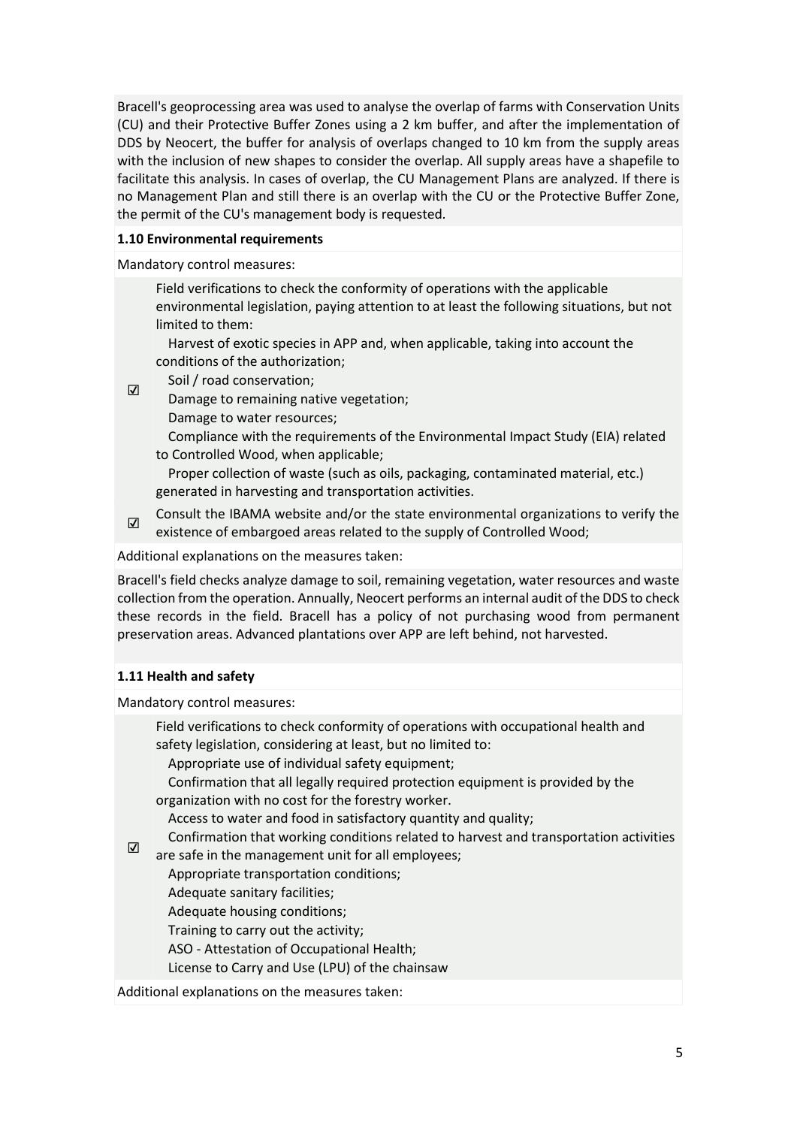Bracell's geoprocessing area was used to analyse the overlap of farms with Conservation Units (CU) and their Protective Buffer Zones using a 2 km buffer, and after the implementation of DDS by Neocert, the buffer for analysis of overlaps changed to 10 km from the supply areas with the inclusion of new shapes to consider the overlap. All supply areas have a shapefile to facilitate this analysis. In cases of overlap, the CU Management Plans are analyzed. If there is no Management Plan and still there is an overlap with the CU or the Protective Buffer Zone, the permit of the CU's management body is requested.

# **1.10 Environmental requirements**

Mandatory control measures:

Field verifications to check the conformity of operations with the applicable environmental legislation, paying attention to at least the following situations, but not limited to them:

Harvest of exotic species in APP and, when applicable, taking into account the conditions of the authorization;

 $\overline{v}$ Soil / road conservation;

Damage to remaining native vegetation;

Damage to water resources;

Compliance with the requirements of the Environmental Impact Study (EIA) related to Controlled Wood, when applicable;

Proper collection of waste (such as oils, packaging, contaminated material, etc.) generated in harvesting and transportation activities.

☑ Consult the IBAMA website and/or the state environmental organizations to verify the existence of embargoed areas related to the supply of Controlled Wood;

Additional explanations on the measures taken:

Bracell's field checks analyze damage to soil, remaining vegetation, water resources and waste collection from the operation. Annually, Neocert performs an internal audit of the DDS to check these records in the field. Bracell has a policy of not purchasing wood from permanent preservation areas. Advanced plantations over APP are left behind, not harvested.

# **1.11 Health and safety**

Mandatory control measures:

Field verifications to check conformity of operations with occupational health and safety legislation, considering at least, but no limited to:

Appropriate use of individual safety equipment;

Confirmation that all legally required protection equipment is provided by the organization with no cost for the forestry worker.

Access to water and food in satisfactory quantity and quality;

Confirmation that working conditions related to harvest and transportation activities

☑ are safe in the management unit for all employees;

Appropriate transportation conditions;

Adequate sanitary facilities;

Adequate housing conditions;

Training to carry out the activity;

ASO - Attestation of Occupational Health;

License to Carry and Use (LPU) of the chainsaw

Additional explanations on the measures taken: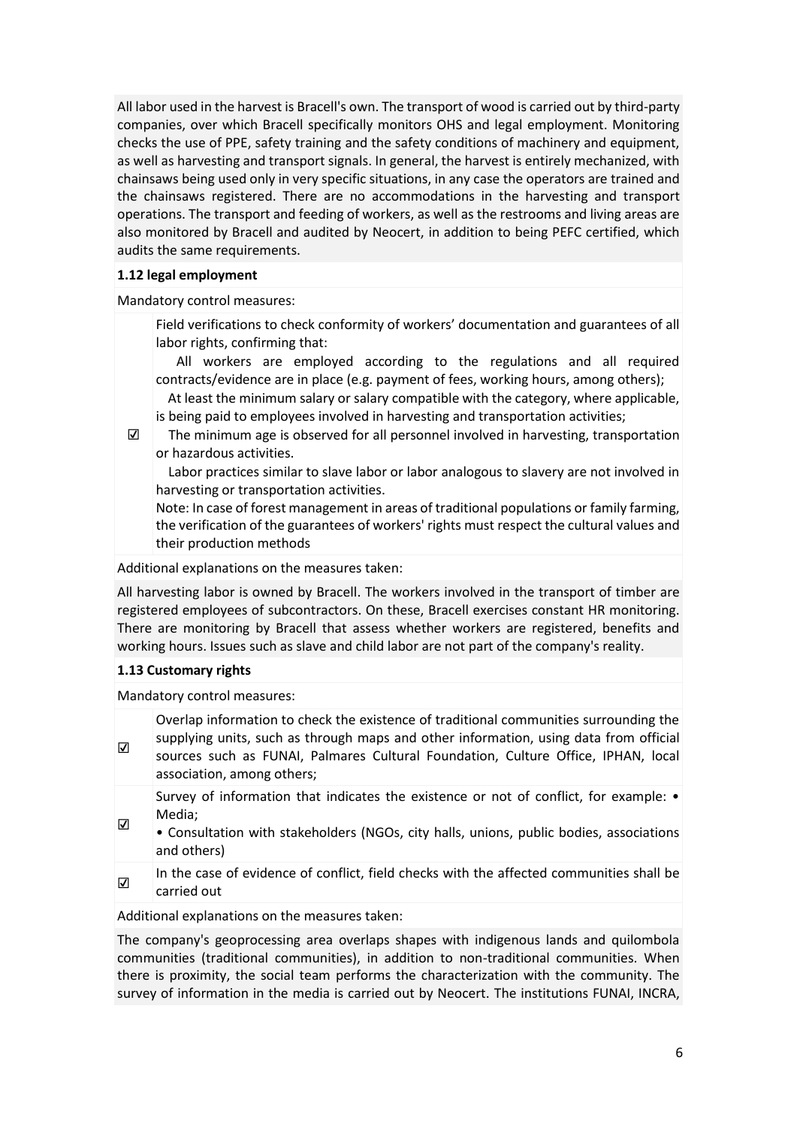All labor used in the harvest is Bracell's own. The transport of wood is carried out by third-party companies, over which Bracell specifically monitors OHS and legal employment. Monitoring checks the use of PPE, safety training and the safety conditions of machinery and equipment, as well as harvesting and transport signals. In general, the harvest is entirely mechanized, with chainsaws being used only in very specific situations, in any case the operators are trained and the chainsaws registered. There are no accommodations in the harvesting and transport operations. The transport and feeding of workers, as well as the restrooms and living areas are also monitored by Bracell and audited by Neocert, in addition to being PEFC certified, which audits the same requirements.

#### **1.12 legal employment**

Mandatory control measures:

Field verifications to check conformity of workers' documentation and guarantees of all labor rights, confirming that:

All workers are employed according to the regulations and all required contracts/evidence are in place (e.g. payment of fees, working hours, among others);

At least the minimum salary or salary compatible with the category, where applicable, is being paid to employees involved in harvesting and transportation activities;

☑

The minimum age is observed for all personnel involved in harvesting, transportation or hazardous activities.

Labor practices similar to slave labor or labor analogous to slavery are not involved in harvesting or transportation activities.

Note: In case of forest management in areas of traditional populations or family farming, the verification of the guarantees of workers' rights must respect the cultural values and their production methods

Additional explanations on the measures taken:

All harvesting labor is owned by Bracell. The workers involved in the transport of timber are registered employees of subcontractors. On these, Bracell exercises constant HR monitoring. There are monitoring by Bracell that assess whether workers are registered, benefits and working hours. Issues such as slave and child labor are not part of the company's reality.

### **1.13 Customary rights**

Mandatory control measures:

☑ Overlap information to check the existence of traditional communities surrounding the supplying units, such as through maps and other information, using data from official sources such as FUNAI, Palmares Cultural Foundation, Culture Office, IPHAN, local association, among others;

Survey of information that indicates the existence or not of conflict, for example: • Media;

- ☑ • Consultation with stakeholders (NGOs, city halls, unions, public bodies, associations and others)
- ☑ In the case of evidence of conflict, field checks with the affected communities shall be carried out

Additional explanations on the measures taken:

The company's geoprocessing area overlaps shapes with indigenous lands and quilombola communities (traditional communities), in addition to non-traditional communities. When there is proximity, the social team performs the characterization with the community. The survey of information in the media is carried out by Neocert. The institutions FUNAI, INCRA,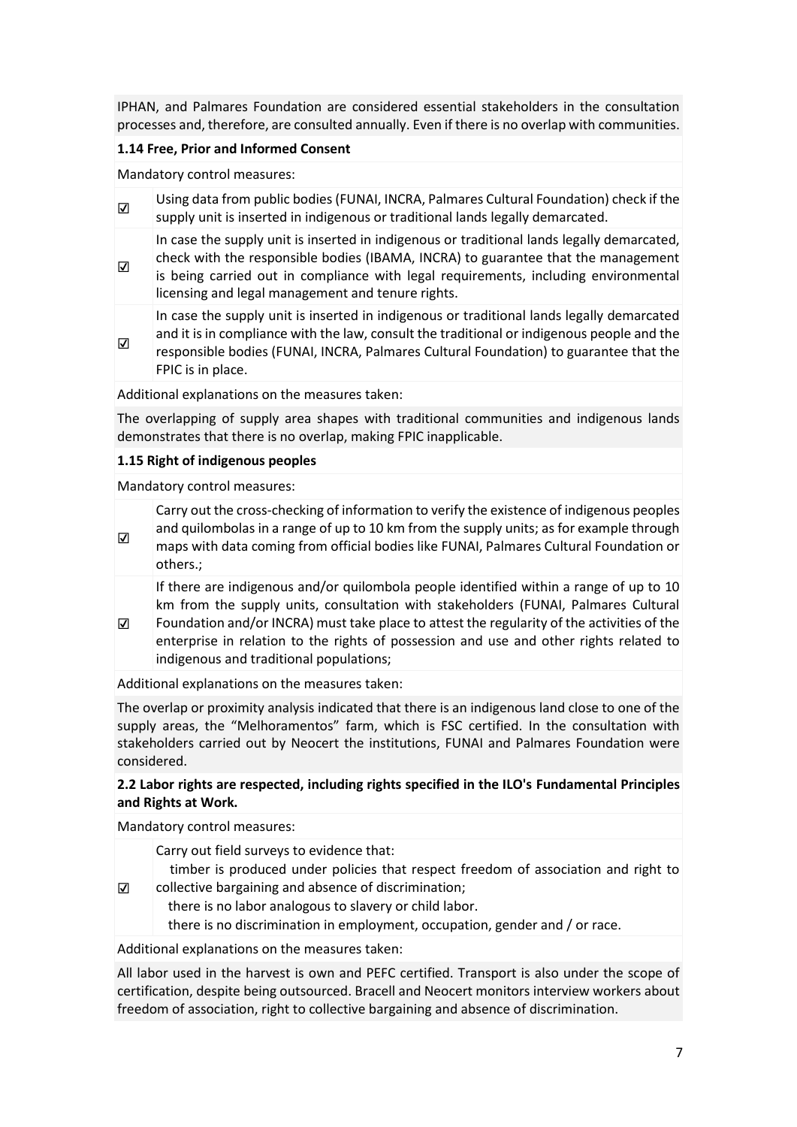IPHAN, and Palmares Foundation are considered essential stakeholders in the consultation processes and, therefore, are consulted annually. Even if there is no overlap with communities.

# **1.14 Free, Prior and Informed Consent**

Mandatory control measures:

☑

☑

☑ Using data from public bodies (FUNAI, INCRA, Palmares Cultural Foundation) check if the supply unit is inserted in indigenous or traditional lands legally demarcated.

In case the supply unit is inserted in indigenous or traditional lands legally demarcated, check with the responsible bodies (IBAMA, INCRA) to guarantee that the management is being carried out in compliance with legal requirements, including environmental licensing and legal management and tenure rights.

In case the supply unit is inserted in indigenous or traditional lands legally demarcated

☑ and it is in compliance with the law, consult the traditional or indigenous people and the responsible bodies (FUNAI, INCRA, Palmares Cultural Foundation) to guarantee that the FPIC is in place.

Additional explanations on the measures taken:

The overlapping of supply area shapes with traditional communities and indigenous lands demonstrates that there is no overlap, making FPIC inapplicable.

#### **1.15 Right of indigenous peoples**

Mandatory control measures:

Carry out the cross-checking of information to verify the existence of indigenous peoples and quilombolas in a range of up to 10 km from the supply units; as for example through maps with data coming from official bodies like FUNAI, Palmares Cultural Foundation or others.;

If there are indigenous and/or quilombola people identified within a range of up to 10 km from the supply units, consultation with stakeholders (FUNAI, Palmares Cultural

☑ Foundation and/or INCRA) must take place to attest the regularity of the activities of the enterprise in relation to the rights of possession and use and other rights related to indigenous and traditional populations;

Additional explanations on the measures taken:

The overlap or proximity analysis indicated that there is an indigenous land close to one of the supply areas, the "Melhoramentos" farm, which is FSC certified. In the consultation with stakeholders carried out by Neocert the institutions, FUNAI and Palmares Foundation were considered.

# **2.2 Labor rights are respected, including rights specified in the ILO's Fundamental Principles and Rights at Work.**

Mandatory control measures:

Carry out field surveys to evidence that:

- ☑ timber is produced under policies that respect freedom of association and right to collective bargaining and absence of discrimination;
	- there is no labor analogous to slavery or child labor.

there is no discrimination in employment, occupation, gender and / or race.

Additional explanations on the measures taken:

All labor used in the harvest is own and PEFC certified. Transport is also under the scope of certification, despite being outsourced. Bracell and Neocert monitors interview workers about freedom of association, right to collective bargaining and absence of discrimination.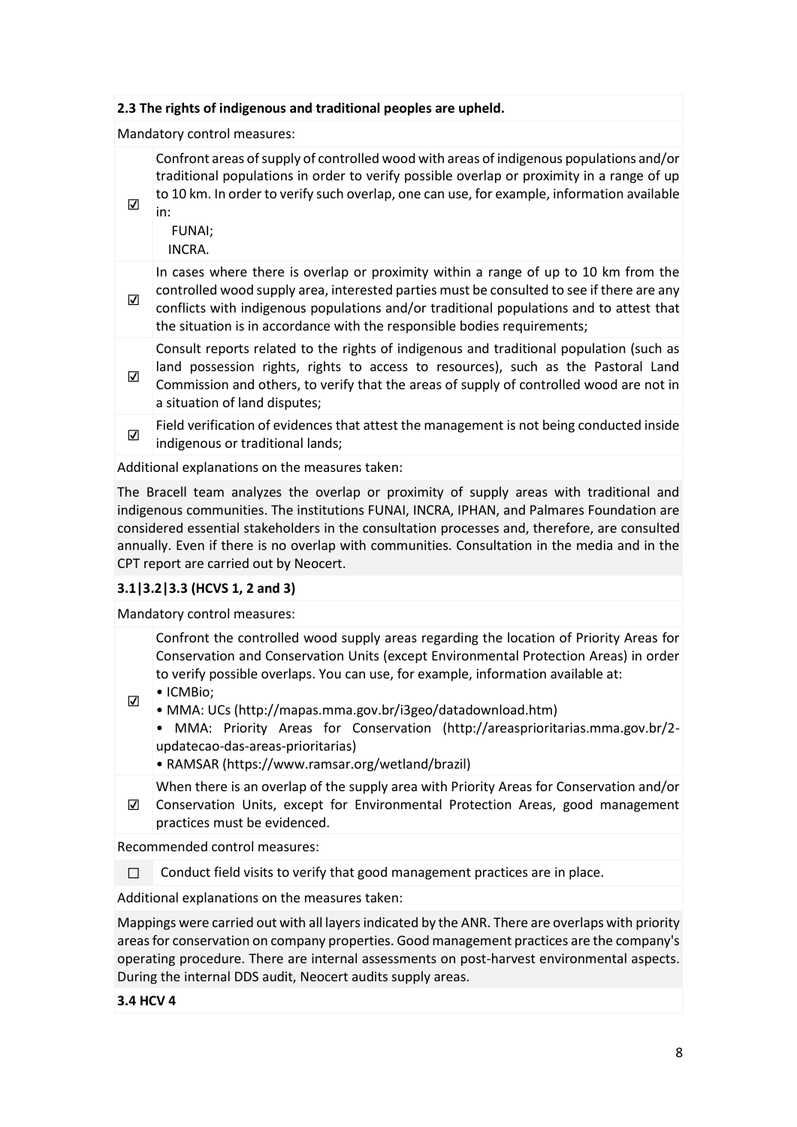# **2.3 The rights of indigenous and traditional peoples are upheld.**

# Mandatory control measures:

Confront areas of supply of controlled wood with areas of indigenous populations and/or traditional populations in order to verify possible overlap or proximity in a range of up to 10 km. In order to verify such overlap, one can use, for example, information available in:

FUNAI;

☑

INCRA.

☑ In cases where there is overlap or proximity within a range of up to 10 km from the controlled wood supply area, interested parties must be consulted to see if there are any conflicts with indigenous populations and/or traditional populations and to attest that the situation is in accordance with the responsible bodies requirements;

☑ Consult reports related to the rights of indigenous and traditional population (such as land possession rights, rights to access to resources), such as the Pastoral Land Commission and others, to verify that the areas of supply of controlled wood are not in a situation of land disputes;

☑ Field verification of evidences that attest the management is not being conducted inside indigenous or traditional lands;

Additional explanations on the measures taken:

The Bracell team analyzes the overlap or proximity of supply areas with traditional and indigenous communities. The institutions FUNAI, INCRA, IPHAN, and Palmares Foundation are considered essential stakeholders in the consultation processes and, therefore, are consulted annually. Even if there is no overlap with communities. Consultation in the media and in the CPT report are carried out by Neocert.

# **3.1|3.2|3.3 (HCVS 1, 2 and 3)**

Mandatory control measures:

Confront the controlled wood supply areas regarding the location of Priority Areas for Conservation and Conservation Units (except Environmental Protection Areas) in order to verify possible overlaps. You can use, for example, information available at:

- ☑ • ICMBio;
	- MMA: UCs (http://mapas.mma.gov.br/i3geo/datadownload.htm)
	- MMA: Priority Areas for Conservation (http://areasprioritarias.mma.gov.br/2 updatecao-das-areas-prioritarias)
	- RAMSAR (https://www.ramsar.org/wetland/brazil)

☑ Conservation Units, except for Environmental Protection Areas, good management When there is an overlap of the supply area with Priority Areas for Conservation and/or practices must be evidenced.

Recommended control measures:

□ Conduct field visits to verify that good management practices are in place.

Additional explanations on the measures taken:

Mappings were carried out with all layers indicated by the ANR. There are overlaps with priority areas for conservation on company properties. Good management practices are the company's operating procedure. There are internal assessments on post-harvest environmental aspects. During the internal DDS audit, Neocert audits supply areas.

**3.4 HCV 4**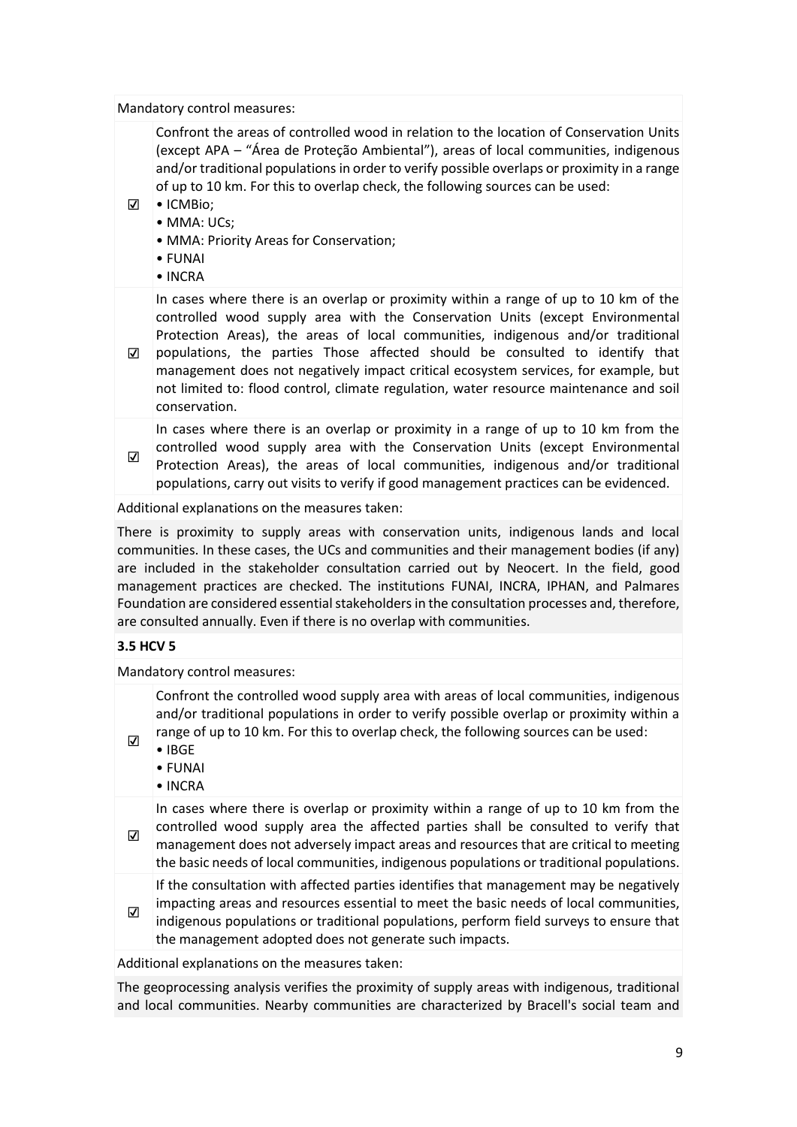### Mandatory control measures:

Confront the areas of controlled wood in relation to the location of Conservation Units (except APA – "Área de Proteção Ambiental"), areas of local communities, indigenous and/or traditional populations in order to verify possible overlaps or proximity in a range of up to 10 km. For this to overlap check, the following sources can be used:

- ☑ ICMBio;
	- MMA: UCs:
	- MMA: Priority Areas for Conservation;
	- FUNAI
	- INCRA

☑ populations, the parties Those affected should be consulted to identify that In cases where there is an overlap or proximity within a range of up to 10 km of the controlled wood supply area with the Conservation Units (except Environmental Protection Areas), the areas of local communities, indigenous and/or traditional

management does not negatively impact critical ecosystem services, for example, but not limited to: flood control, climate regulation, water resource maintenance and soil conservation.

In cases where there is an overlap or proximity in a range of up to 10 km from the controlled wood supply area with the Conservation Units (except Environmental Protection Areas), the areas of local communities, indigenous and/or traditional populations, carry out visits to verify if good management practices can be evidenced.

Additional explanations on the measures taken:

There is proximity to supply areas with conservation units, indigenous lands and local communities. In these cases, the UCs and communities and their management bodies (if any) are included in the stakeholder consultation carried out by Neocert. In the field, good management practices are checked. The institutions FUNAI, INCRA, IPHAN, and Palmares Foundation are considered essential stakeholders in the consultation processes and, therefore, are consulted annually. Even if there is no overlap with communities.

### **3.5 HCV 5**

☑

☑

Mandatory control measures:

Confront the controlled wood supply area with areas of local communities, indigenous and/or traditional populations in order to verify possible overlap or proximity within a range of up to 10 km. For this to overlap check, the following sources can be used:

- IBGE
- FUNAI
- INCRA

☑ In cases where there is overlap or proximity within a range of up to 10 km from the controlled wood supply area the affected parties shall be consulted to verify that management does not adversely impact areas and resources that are critical to meeting the basic needs of local communities, indigenous populations or traditional populations.

If the consultation with affected parties identifies that management may be negatively impacting areas and resources essential to meet the basic needs of local communities,

☑ indigenous populations or traditional populations, perform field surveys to ensure that the management adopted does not generate such impacts.

Additional explanations on the measures taken:

The geoprocessing analysis verifies the proximity of supply areas with indigenous, traditional and local communities. Nearby communities are characterized by Bracell's social team and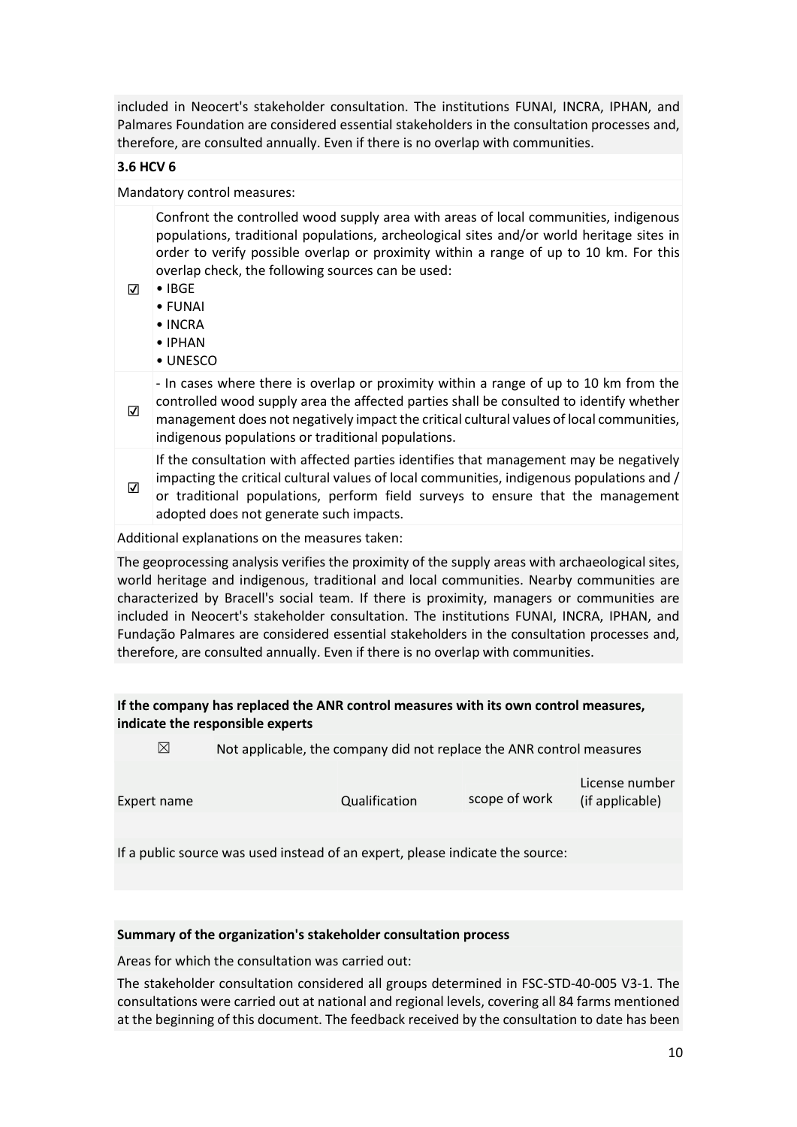included in Neocert's stakeholder consultation. The institutions FUNAI, INCRA, IPHAN, and Palmares Foundation are considered essential stakeholders in the consultation processes and, therefore, are consulted annually. Even if there is no overlap with communities.

# **3.6 HCV 6**

Mandatory control measures:

Confront the controlled wood supply area with areas of local communities, indigenous populations, traditional populations, archeological sites and/or world heritage sites in order to verify possible overlap or proximity within a range of up to 10 km. For this overlap check, the following sources can be used:

- ☑ IBGE
	- FUNAI
	- INCRA
	- IPHAN
	- UNESCO

☑ - In cases where there is overlap or proximity within a range of up to 10 km from the controlled wood supply area the affected parties shall be consulted to identify whether management does not negatively impact the critical cultural values of local communities, indigenous populations or traditional populations.

If the consultation with affected parties identifies that management may be negatively impacting the critical cultural values of local communities, indigenous populations and /

☑ or traditional populations, perform field surveys to ensure that the management adopted does not generate such impacts.

Additional explanations on the measures taken:

The geoprocessing analysis verifies the proximity of the supply areas with archaeological sites, world heritage and indigenous, traditional and local communities. Nearby communities are characterized by Bracell's social team. If there is proximity, managers or communities are included in Neocert's stakeholder consultation. The institutions FUNAI, INCRA, IPHAN, and Fundação Palmares are considered essential stakeholders in the consultation processes and, therefore, are consulted annually. Even if there is no overlap with communities.

# **If the company has replaced the ANR control measures with its own control measures, indicate the responsible experts**

 $\boxtimes$  Not applicable, the company did not replace the ANR control measures

| Expert name | Qualification | scope of work | License number<br>(if applicable) |
|-------------|---------------|---------------|-----------------------------------|
|             |               |               |                                   |

If a public source was used instead of an expert, please indicate the source:

### **Summary of the organization's stakeholder consultation process**

Areas for which the consultation was carried out:

The stakeholder consultation considered all groups determined in FSC-STD-40-005 V3-1. The consultations were carried out at national and regional levels, covering all 84 farms mentioned at the beginning of this document. The feedback received by the consultation to date has been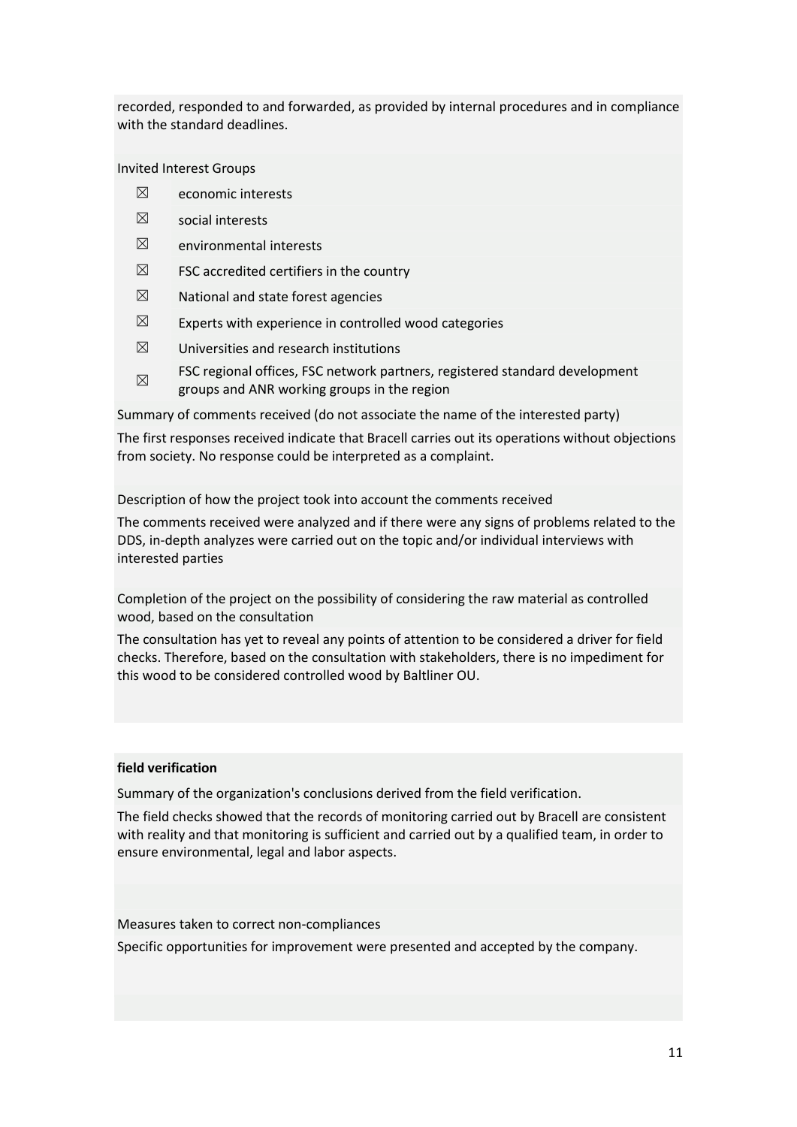recorded, responded to and forwarded, as provided by internal procedures and in compliance with the standard deadlines.

Invited Interest Groups

- $\boxtimes$  economic interests
- $$\boxtimes$$  social interests
- $<sup>2</sup>$  environmental interests</sup>
- $\boxtimes$  FSC accredited certifiers in the country
- $\boxtimes$  National and state forest agencies
- $\boxtimes$  Experts with experience in controlled wood categories
- $\boxtimes$  Universities and research institutions
- ☒ FSC regional offices, FSC network partners, registered standard development groups and ANR working groups in the region

Summary of comments received (do not associate the name of the interested party)

The first responses received indicate that Bracell carries out its operations without objections from society. No response could be interpreted as a complaint.

Description of how the project took into account the comments received

The comments received were analyzed and if there were any signs of problems related to the DDS, in-depth analyzes were carried out on the topic and/or individual interviews with interested parties

Completion of the project on the possibility of considering the raw material as controlled wood, based on the consultation

The consultation has yet to reveal any points of attention to be considered a driver for field checks. Therefore, based on the consultation with stakeholders, there is no impediment for this wood to be considered controlled wood by Baltliner OU.

# **field verification**

Summary of the organization's conclusions derived from the field verification.

The field checks showed that the records of monitoring carried out by Bracell are consistent with reality and that monitoring is sufficient and carried out by a qualified team, in order to ensure environmental, legal and labor aspects.

Measures taken to correct non-compliances

Specific opportunities for improvement were presented and accepted by the company.